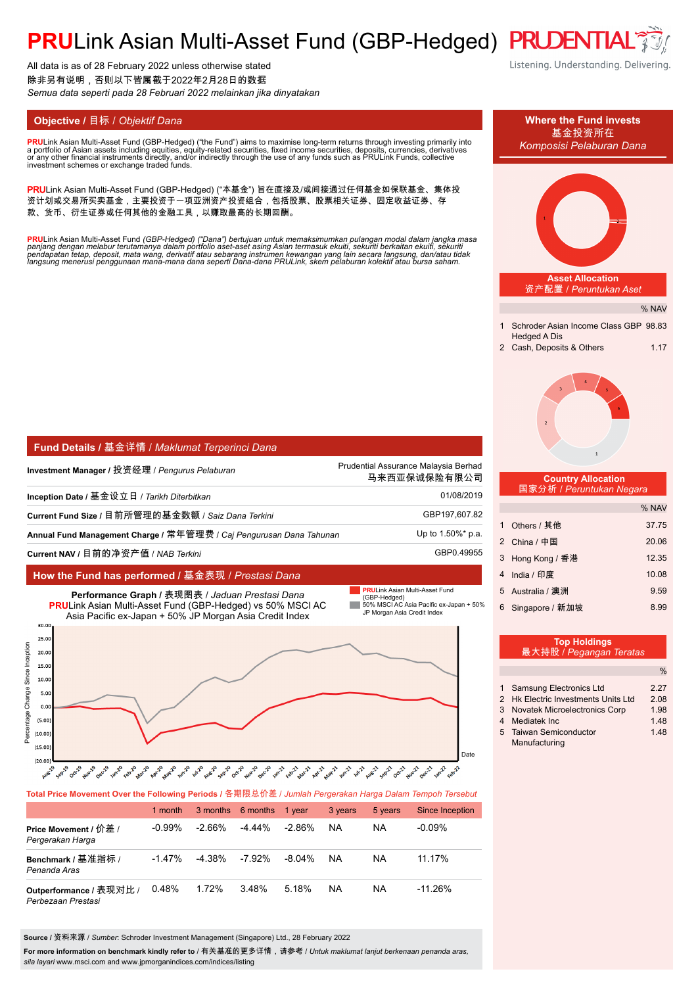# **PRULink Asian Multi-Asset Fund (GBP-Hedged) PRUDENTI**

All data is as of 28 February 2022 unless otherwise stated 除非另有说明,否则以下皆属截于2022年2月28日的数据 *Semua data seperti pada 28 Februari 2022 melainkan jika dinyatakan*

**PRU**Link Asian Multi-Asset Fund (GBP-Hedged) ("the Fund") aims to maximise long-term returns through investing primarily into<br>a nortfolio of Asian assets including equities, equity-related securities, fixed income securit a portfolio of Asian assets including equities, equity-related securities, fixed income securities, deposits, currencies, derivatives<br>or any other financial instruments directly, and/or indirectly through the use of any fu

PRULink Asian Multi-Asset Fund (GBP-Hedged) ("本基金") 旨在直接及/或间接通过任何基金如保联基金、集体投 资计划或交易所买卖基金,主要投资于一项亚洲资产投资组合,包括股票、股票相关证券、固定收益证券、存 款、货币、衍生证券或任何其他的金融工具,以赚取最高的长期回酬。

<mark>PRU</mark>Link Asian Multi-Asset Fund (GBP-Hedged) ("Dana") bertujuan untuk memaksimumkan pulangan modal dalam jangka masa<br>panjang dengan melabur terutamanya dalam portfolio aset-aset asing Asian termasuk ekuiti, sekuriti berka

| Fund Details / 基金详情 / Maklumat Terperinci Dana                      |                                                      |
|---------------------------------------------------------------------|------------------------------------------------------|
| Investment Manager / 投资经理 / <i>Penqurus Pelaburan</i>               | Prudential Assurance Malaysia Berhad<br>马来西亚保诚保险有限公司 |
| Inception Date / 基金设立日 / <i>Tarikh Diterbitkan</i>                  | 01/08/2019                                           |
| Current Fund Size / 目前所管理的基金数额 / Saiz Dana Terkini                  | GBP197,607.82                                        |
| Annual Fund Management Charge / 常年管理费 / Caj Pengurusan Dana Tahunan | Up to 1.50%* p.a.                                    |
| Current NAV / 目前的净资产值 / NAB <i>Terkini</i>                          | GBP0.49955                                           |

# **How the Fund has performed /** 基金表现 / *Prestasi Dana*



# **Total Price Movement Over the Following Periods /** 各期限总价差 / *Jumlah Pergerakan Harga Dalam Tempoh Tersebut*

|                                               | 1 month   |           | 3 months 6 months | 1 vear    | 3 years | 5 years | Since Inception |
|-----------------------------------------------|-----------|-----------|-------------------|-----------|---------|---------|-----------------|
| Price Movement / 价差 /<br>Pergerakan Harga     | $-0.99\%$ | $-2.66\%$ | $-4.44\%$         | $-2.86\%$ | NA      | ΝA      | $-0.09%$        |
| Benchmark / 基准指标 /<br>Penanda Aras            | $-1.47%$  | $-4.38\%$ | -7.92%            | $-8.04\%$ | NA      | ΝA      | 11.17%          |
| Outperformance / 表现对比 /<br>Perbezaan Prestasi | 0.48%     | 1.72%     | 3.48%             | 5.18%     | NA      | ΝA      | $-11.26%$       |

**Source /** 资料来源 / *Sumber*: Schroder Investment Management (Singapore) Ltd., 28 February 2022

For more information on benchmark kindly refer to / 有关基准的更多详情,请参考 / *Untuk maklumat lanjut berkenaan penanda aras*, *sila layari* www.msci.com and www.jpmorganindices.com/indices/listing

Listening. Understanding. Delivering.



| <b>1 Samsung Electronics Ltd</b>    | 2.21 |
|-------------------------------------|------|
| 2 Hk Electric Investments Units Ltd | 2.08 |
| 3 Novatek Microelectronics Corp     | 1.98 |
| 4 Mediatek Inc                      | 1.48 |
| 5 Taiwan Semiconductor              | 1.48 |
| Manufacturing                       |      |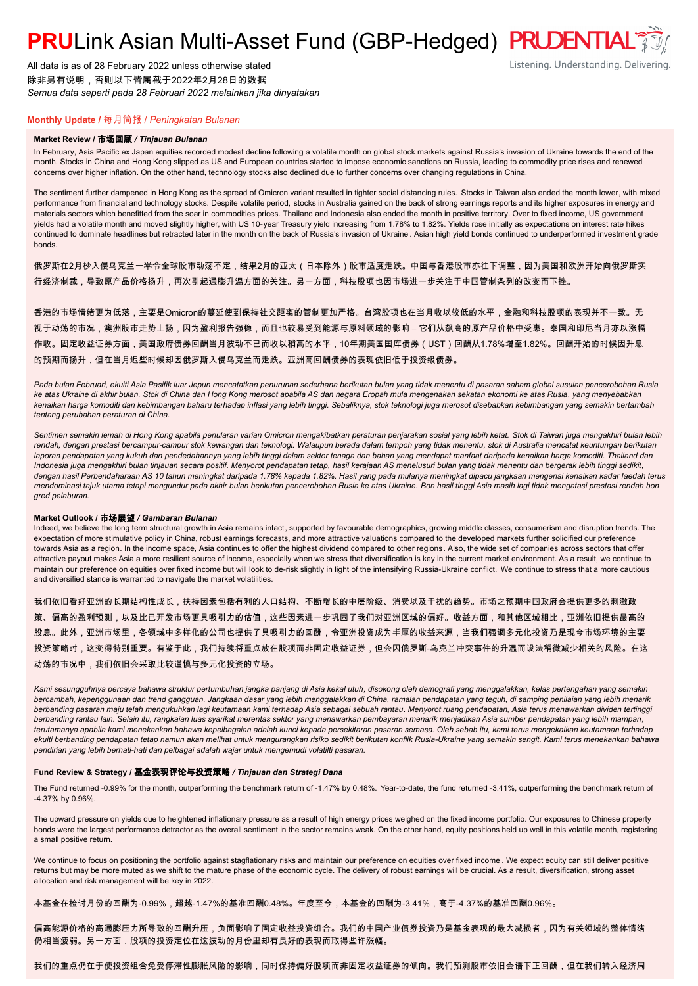# **PRULink Asian Multi-Asset Fund (GBP-Hedged) PRUDENTIAL<sup>7</sup>**

All data is as of 28 February 2022 unless otherwise stated 除非另有说明,否则以下皆属截于2022年2月28日的数据 *Semua data seperti pada 28 Februari 2022 melainkan jika dinyatakan*

Listening. Understanding. Delivering.

# **Monthly Update /** 每月简报 / *Peningkatan Bulanan*

## **Market Review /** 市场回顾 */ Tinjauan Bulanan*

In February, Asia Pacific ex Japan equities recorded modest decline following a volatile month on global stock markets against Russia's invasion of Ukraine towards the end of the month. Stocks in China and Hong Kong slipped as US and European countries started to impose economic sanctions on Russia, leading to commodity price rises and renewed concerns over higher inflation. On the other hand, technology stocks also declined due to further concerns over changing regulations in China.

The sentiment further dampened in Hong Kong as the spread of Omicron variant resulted in tighter social distancing rules. Stocks in Taiwan also ended the month lower, with mixed performance from financial and technology stocks. Despite volatile period, stocks in Australia gained on the back of strong earnings reports and its higher exposures in energy and materials sectors which benefitted from the soar in commodities prices. Thailand and Indonesia also ended the month in positive territory. Over to fixed income, US government yields had a volatile month and moved slightly higher, with US 10-year Treasury yield increasing from 1.78% to 1.82%. Yields rose initially as expectations on interest rate hikes continued to dominate headlines but retracted later in the month on the back of Russia's invasion of Ukraine . Asian high yield bonds continued to underperformed investment grade bonds.

俄罗斯在2月杪入侵乌克兰一举令全球股市动荡不定,结果2月的亚太(日本除外)股市适度走跌。中国与香港股市亦往下调整,因为美国和欧洲开始向俄罗斯实 行经济制裁,导致原产品价格扬升,再次引起通膨升温方面的关注。另一方面,科技股项也因市场进一步关注于中国管制条列的改变而下挫。

香港的市场情绪更为低落,主要是Omicron的蔓延使到保持社交距离的管制更加严格。台湾股项也在当月收以较低的水平,金融和科技股项的表现并不一致。无 视于动荡的市况,澳洲股市走势上扬,因为盈利报告强稳,而且也较易受到能源与原料领域的影响 – 它们从飙高的原产品价格中受惠。泰国和印尼当月亦以涨幅 作收。固定收益证券方面,美国政府债券回酬当月波动不已而收以稍高的水平,10年期美国国库债券(UST)回酬从1.78%增至1.82%。回酬开始的时候因升息 的预期而扬升,但在当月迟些时候却因俄罗斯入侵乌克兰而走跌。亚洲高回酬债券的表现依旧低于投资级债券。

*Pada bulan Februari, ekuiti Asia Pasifik luar Jepun mencatatkan penurunan sederhana berikutan bulan yang tidak menentu di pasaran saham global susulan pencerobohan Rusia ke atas Ukraine di akhir bulan. Stok di China dan Hong Kong merosot apabila AS dan negara Eropah mula mengenakan sekatan ekonomi ke atas Rusia, yang menyebabkan kenaikan harga komoditi dan kebimbangan baharu terhadap inflasi yang lebih tinggi. Sebaliknya, stok teknologi juga merosot disebabkan kebimbangan yang semakin bertambah tentang perubahan peraturan di China.*

*Sentimen semakin lemah di Hong Kong apabila penularan varian Omicron mengakibatkan peraturan penjarakan sosial yang lebih ketat. Stok di Taiwan juga mengakhiri bulan lebih rendah, dengan prestasi bercampur-campur stok kewangan dan teknologi. Walaupun berada dalam tempoh yang tidak menentu, stok di Australia mencatat keuntungan berikutan*  laporan pendapatan yang kukuh dan pendedahannya yang lebih tinggi dalam sektor tenaga dan bahan yang mendapat manfaat daripada kenaikan harga komoditi. Thailand dan *Indonesia juga mengakhiri bulan tinjauan secara positif. Menyorot pendapatan tetap, hasil kerajaan AS menelusuri bulan yang tidak menentu dan bergerak lebih tinggi sedikit, dengan hasil Perbendaharaan AS 10 tahun meningkat daripada 1.78% kepada 1.82%. Hasil yang pada mulanya meningkat dipacu jangkaan mengenai kenaikan kadar faedah terus mendominasi tajuk utama tetapi mengundur pada akhir bulan berikutan pencerobohan Rusia ke atas Ukraine. Bon hasil tinggi Asia masih lagi tidak mengatasi prestasi rendah bon gred pelaburan.*

## **Market Outlook /** 市场展望 */ Gambaran Bulanan*

Indeed, we believe the long term structural growth in Asia remains intact, supported by favourable demographics, growing middle classes, consumerism and disruption trends. The expectation of more stimulative policy in China, robust earnings forecasts, and more attractive valuations compared to the developed markets further solidified our preference towards Asia as a region. In the income space, Asia continues to offer the highest dividend compared to other regions. Also, the wide set of companies across sectors that offer attractive payout makes Asia a more resilient source of income, especially when we stress that diversification is key in the current market environment. As a result, we continue to maintain our preference on equities over fixed income but will look to de-risk slightly in light of the intensifying Russia-Ukraine conflict. We continue to stress that a more cautious and diversified stance is warranted to navigate the market volatilities.

我们依旧看好亚洲的长期结构性成长,扶持因素包括有利的人口结构、不断增长的中层阶级、消费以及干扰的趋势。市场之预期中国政府会提供更多的刺激政 策、偏高的盈利预测,以及比已开发市场更具吸引力的估值,这些因素进一步巩固了我们对亚洲区域的偏好。收益方面,和其他区域相比,亚洲依旧提供最高的 股息。此外,亚洲市场里,各领域中多样化的公司也提供了具吸引力的回酬,令亚洲投资成为丰厚的收益来源,当我们强调多元化投资乃是现今市场环境的主要 <mark>投资策略时,这变得特别重要。有鉴于此,我们持续将重点放在股项而非固定收益证券,但会因俄罗斯-乌克兰冲突事件的升温而设法稍微减少相关的风险。在这</mark> 动荡的市况中,我们依旧会采取比较谨慎与多元化投资的立场。

*Kami sesungguhnya percaya bahawa struktur pertumbuhan jangka panjang di Asia kekal utuh, disokong oleh demografi yang menggalakkan, kelas pertengahan yang semakin bercambah, kepenggunaan dan trend gangguan. Jangkaan dasar yang lebih menggalakkan di China, ramalan pendapatan yang teguh, di samping penilaian yang lebih menarik berbanding pasaran maju telah mengukuhkan lagi keutamaan kami terhadap Asia sebagai sebuah rantau. Menyorot ruang pendapatan, Asia terus menawarkan dividen tertinggi berbanding rantau lain. Selain itu, rangkaian luas syarikat merentas sektor yang menawarkan pembayaran menarik menjadikan Asia sumber pendapatan yang lebih mampan, terutamanya apabila kami menekankan bahawa kepelbagaian adalah kunci kepada persekitaran pasaran semasa. Oleh sebab itu, kami terus mengekalkan keutamaan terhadap ekuiti berbanding pendapatan tetap namun akan melihat untuk mengurangkan risiko sedikit berikutan konflik Rusia-Ukraine yang semakin sengit. Kami terus menekankan bahawa pendirian yang lebih berhati-hati dan pelbagai adalah wajar untuk mengemudi volatilti pasaran.*

## **Fund Review & Strategy /** 基金表现评论与投资策略 */ Tinjauan dan Strategi Dana*

The Fund returned -0.99% for the month, outperforming the benchmark return of -1.47% by 0.48%. Year-to-date, the fund returned -3.41%, outperforming the benchmark return of -4.37% by 0.96%.

The upward pressure on yields due to heightened inflationary pressure as a result of high energy prices weighed on the fixed income portfolio. Our exposures to Chinese property bonds were the largest performance detractor as the overall sentiment in the sector remains weak. On the other hand, equity positions held up well in this volatile month, registering a small positive return.

We continue to focus on positioning the portfolio against stagflationary risks and maintain our preference on equities over fixed income . We expect equity can still deliver positive returns but may be more muted as we shift to the mature phase of the economic cycle. The delivery of robust earnings will be crucial. As a result, diversification, strong asset allocation and risk management will be key in 2022.

本基金在检讨月份的回酬为-0.99%,超越-1.47%的基准回酬0.48%。年度至今,本基金的回酬为-3.41%,高于-4.37%的基准回酬0.96%。

偏高能源价格的高通膨压力所导致的回酬升压,负面影响了固定收益投资组合。我们的中国产业债券投资乃是基金表现的最大减损者,因为有关领域的整体情绪 仍相当疲弱。另一方面,股项的投资定位在这波动的月份里却有良好的表现而取得些许涨幅。

我们的重点仍在于使投资组合免受停滞性膨胀风险的影响,同时保持偏好股项而非固定收益证券的倾向。我们预测股市依旧会谱下正回酬,但在我们转入经济周